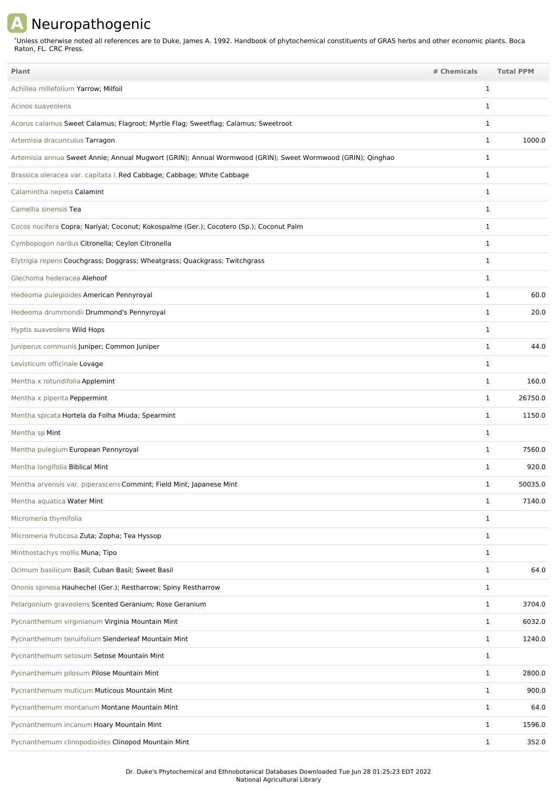## **A** Neuropathogenic

Unless otherwise noted all references are to Duke, James A. 1992. Handbook of phytochemical constituents of GRAS herbs and other economic plants. Boca Raton, FL. CRC Press. \*

| Plant                                                                                                      | # Chemicals  | <b>Total PPM</b> |         |
|------------------------------------------------------------------------------------------------------------|--------------|------------------|---------|
| Achillea millefolium Yarrow; Milfoil                                                                       | $\mathbf{1}$ |                  |         |
| Acinos suaveolens                                                                                          | $\mathbf{1}$ |                  |         |
| Acorus calamus Sweet Calamus; Flagroot; Myrtle Flag; Sweetflag; Calamus; Sweetroot                         | 1            |                  |         |
| Artemisia dracunculus Tarragon                                                                             | $\mathbf{1}$ |                  | 1000.0  |
| Artemisia annua Sweet Annie; Annual Mugwort (GRIN); Annual Wormwood (GRIN); Sweet Wormwood (GRIN); Qinghao | $\mathbf{1}$ |                  |         |
| Brassica oleracea var. capitata I. Red Cabbage; Cabbage; White Cabbage                                     | $\mathbf{1}$ |                  |         |
| Calamintha nepeta Calamint                                                                                 | 1            |                  |         |
| Camellia sinensis Tea                                                                                      | $\mathbf{1}$ |                  |         |
| Cocos nucifera Copra; Nariyal; Coconut; Kokospalme (Ger.); Cocotero (Sp.); Coconut Palm                    | $\mathbf{1}$ |                  |         |
| Cymbopogon nardus Citronella; Ceylon Citronella                                                            | $\mathbf{1}$ |                  |         |
| Elytrigia repens Couchgrass; Doggrass; Wheatgrass; Quackgrass; Twitchgrass                                 | $\mathbf{1}$ |                  |         |
| Glechoma hederacea Alehoof                                                                                 | $\mathbf{1}$ |                  |         |
| Hedeoma pulegioides American Pennyroyal                                                                    | $\mathbf{1}$ |                  | 60.0    |
| Hedeoma drummondii Drummond's Pennyroyal                                                                   | $\mathbf{1}$ |                  | 20.0    |
| Hyptis suaveolens Wild Hops                                                                                | $\mathbf{1}$ |                  |         |
| Juniperus communis Juniper; Common Juniper                                                                 | $\mathbf{1}$ |                  | 44.0    |
| Levisticum officinale Lovage                                                                               | $\mathbf{1}$ |                  |         |
| Mentha x rotundifolia Applemint                                                                            | $\mathbf{1}$ |                  | 160.0   |
| Mentha x piperita Peppermint                                                                               |              | $\mathbf{1}$     | 26750.0 |
| Mentha spicata Hortela da Folha Miuda; Spearmint                                                           | $\mathbf{1}$ |                  | 1150.0  |
| Mentha sp Mint                                                                                             | $\mathbf{1}$ |                  |         |
| Mentha pulegium European Pennyroyal                                                                        | 1            |                  | 7560.0  |
| Mentha longifolia Biblical Mint                                                                            | 1            |                  | 920.0   |
| Mentha arvensis var. piperascens Cornmint; Field Mint; Japanese Mint                                       | 1            |                  | 50035.0 |
| Mentha aquatica Water Mint                                                                                 | $\mathbf{1}$ |                  | 7140.0  |
| Micromeria thymifolia                                                                                      |              | $\mathbf{1}$     |         |
| Micromeria fruticosa Zuta; Zopha; Tea Hyssop                                                               | $\mathbf{1}$ |                  |         |
| Minthostachys mollis Muna; Tipo                                                                            |              | $\mathbf{1}$     |         |
| Ocimum basilicum Basil; Cuban Basil; Sweet Basil                                                           |              | $\mathbf{1}$     | 64.0    |
| Ononis spinosa Hauhechel (Ger.); Restharrow; Spiny Restharrow                                              |              | $\mathbf{1}$     |         |
| Pelargonium graveolens Scented Geranium; Rose Geranium                                                     |              | $\mathbf{1}$     | 3704.0  |
| Pycnanthemum virginianum Virginia Mountain Mint                                                            |              | $\mathbf{1}$     | 6032.0  |
| Pycnanthemum tenuifolium Slenderleaf Mountain Mint                                                         | $\mathbf{1}$ |                  | 1240.0  |
| Pycnanthemum setosum Setose Mountain Mint                                                                  | $\mathbf{1}$ |                  |         |
| Pycnanthemum pilosum Pilose Mountain Mint                                                                  |              | $\mathbf{1}$     | 2800.0  |
| Pycnanthemum muticum Muticous Mountain Mint                                                                | $\mathbf{1}$ |                  | 900.0   |
| Pycnanthemum montanum Montane Mountain Mint                                                                |              | $\mathbf{1}$     | 64.0    |
| Pycnanthemum incanum Hoary Mountain Mint                                                                   |              | $\mathbf{1}$     | 1596.0  |
| Pycnanthemum clinopodioides Clinopod Mountain Mint                                                         |              | $\mathbf{1}$     | 352.0   |